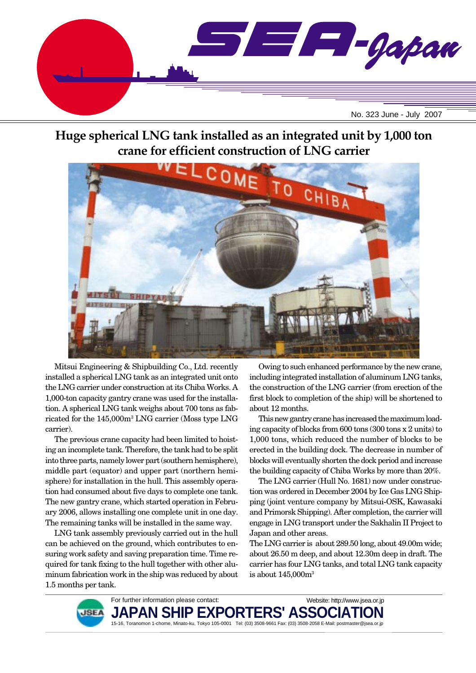

# **Huge spherical LNG tank installed as an integrated unit by 1,000 ton crane for efficient construction of LNG carrier**



Mitsui Engineering & Shipbuilding Co., Ltd. recently installed a spherical LNG tank as an integrated unit onto the LNG carrier under construction at its Chiba Works. A 1,000-ton capacity gantry crane was used for the installation. A spherical LNG tank weighs about 700 tons as fabricated for the 145,000m3 LNG carrier (Moss type LNG carrier).

The previous crane capacity had been limited to hoisting an incomplete tank. Therefore, the tank had to be split into three parts, namely lower part (southern hemisphere), middle part (equator) and upper part (northern hemisphere) for installation in the hull. This assembly operation had consumed about five days to complete one tank. The new gantry crane, which started operation in February 2006, allows installing one complete unit in one day. The remaining tanks will be installed in the same way.

LNG tank assembly previously carried out in the hull can be achieved on the ground, which contributes to ensuring work safety and saving preparation time. Time required for tank fixing to the hull together with other aluminum fabrication work in the ship was reduced by about 1.5 months per tank.

Owing to such enhanced performance by the new crane, including integrated installation of aluminum LNG tanks, the construction of the LNG carrier (from erection of the first block to completion of the ship) will be shortened to about 12 months.

This new gantry crane has increased the maximum loading capacity of blocks from 600 tons (300 tons x 2 units) to 1,000 tons, which reduced the number of blocks to be erected in the building dock. The decrease in number of blocks will eventually shorten the dock period and increase the building capacity of Chiba Works by more than 20%.

The LNG carrier (Hull No. 1681) now under construction was ordered in December 2004 by Ice Gas LNG Shipping (joint venture company by Mitsui-OSK, Kawasaki and Primorsk Shipping). After completion, the carrier will engage in LNG transport under the Sakhalin II Project to Japan and other areas.

The LNG carrier is about 289.50 long, about 49.00m wide; about 26.50 m deep, and about 12.30m deep in draft. The carrier has four LNG tanks, and total LNG tank capacity is about 145,000m3



For further information please contact: JAPAN SHIP EXPORTERS' ASSO 15-16, Toranomon 1-chome, Minato-ku, Tokyo 105-0001 Tel: (03) 3508-9661 Fax: (03) 3508-2058 E-Mail: postmaster@jsea.or.jp Website: http://www.jsea.or.jp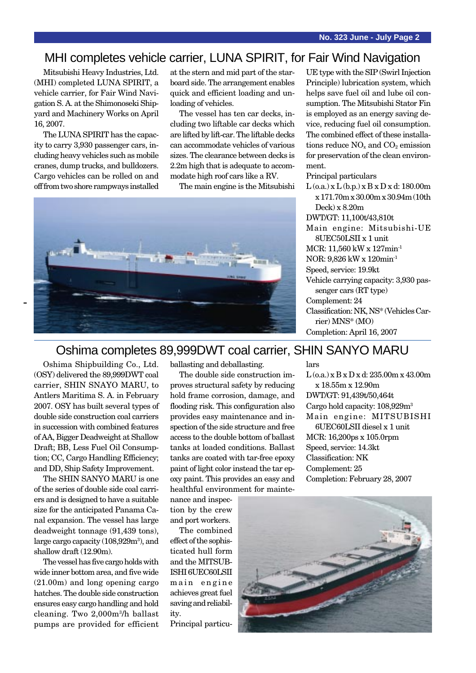## MHI completes vehicle carrier, LUNA SPIRIT, for Fair Wind Navigation

Mitsubishi Heavy Industries, Ltd. (MHI) completed LUNA SPIRIT, a vehicle carrier, for Fair Wind Navigation S. A. at the Shimonoseki Shipyard and Machinery Works on April 16, 2007.

The LUNA SPIRIT has the capacity to carry 3,930 passenger cars, including heavy vehicles such as mobile cranes, dump trucks, and bulldozers. Cargo vehicles can be rolled on and off from two shore rampways installed at the stern and mid part of the starboard side. The arrangement enables quick and efficient loading and unloading of vehicles.

The vessel has ten car decks, including two liftable car decks which are lifted by lift-car. The liftable decks can accommodate vehicles of various sizes. The clearance between decks is 2.2m high that is adequate to accommodate high roof cars like a RV.

The main engine is the Mitsubishi



UE type with the SIP (Swirl Injection Principle) lubrication system, which helps save fuel oil and lube oil consumption. The Mitsubishi Stator Fin is employed as an energy saving device, reducing fuel oil consumption. The combined effect of these installations reduce  $NO<sub>x</sub>$  and  $CO<sub>2</sub>$  emission for preservation of the clean environment.

#### Principal particulars

 $L$  (o.a.)  $x L$  (b.p.)  $x B x D x d$ : 180.00m x 171.70m x 30.00m x 30.94m (10th Deck) x 8.20m DWT/GT: 11,100t/43,810t Main engine: Mitsubishi-UE 8UEC50LSII x 1 unit MCR: 11,560 kW x 127min-1 NOR: 9,826 kW x 120min-1 Speed, service: 19.9kt Vehicle carrying capacity: 3,930 passenger cars (RT type)

Complement: 24

lars

Classification: NK, NS\* (Vehicles Carrier) MNS\* (MO)

 $L$  (o.a.) x B x D x d: 235.00m x 43.00m

Completion: February 28, 2007

Completion: April 16, 2007

x 18.55m x 12.90m DWT/GT: 91,439t/50,464t Cargo hold capacity: 108,929m3 Main engine: MITSUBISHI 6UEC60LSII diesel x 1 unit MCR: 16,200ps x 105.0rpm Speed, service: 14.3kt Classification: NK Complement: 25

## Oshima completes 89,999DWT coal carrier, SHIN SANYO MARU

Oshima Shipbuilding Co., Ltd. (OSY) delivered the 89,999DWT coal carrier, SHIN SNAYO MARU, to Antlers Maritima S. A. in February 2007. OSY has built several types of double side construction coal carriers in succession with combined features of AA, Bigger Deadweight at Shallow Draft; BB, Less Fuel Oil Consumption; CC, Cargo Handling Efficiency; and DD, Ship Safety Improvement.

The SHIN SANYO MARU is one of the series of double side coal carriers and is designed to have a suitable size for the anticipated Panama Canal expansion. The vessel has large deadweight tonnage (91,439 tons), large cargo capacity (108,929m<sup>3</sup>), and shallow draft (12.90m).

The vessel has five cargo holds with wide inner bottom area, and five wide (21.00m) and long opening cargo hatches. The double side construction ensures easy cargo handling and hold cleaning. Two 2,000m3/h ballast pumps are provided for efficient ballasting and deballasting.

The double side construction improves structural safety by reducing hold frame corrosion, damage, and flooding risk. This configuration also provides easy maintenance and inspection of the side structure and free access to the double bottom of ballast tanks at loaded conditions. Ballast tanks are coated with tar-free epoxy paint of light color instead the tar epoxy paint. This provides an easy and healthful environment for mainte-

nance and inspection by the crew and port workers.

The combined effect of the sophisticated hull form and the MITSUB-ISHI 6UEC60LSII main engine achieves great fuel saving and reliability.

Principal particu-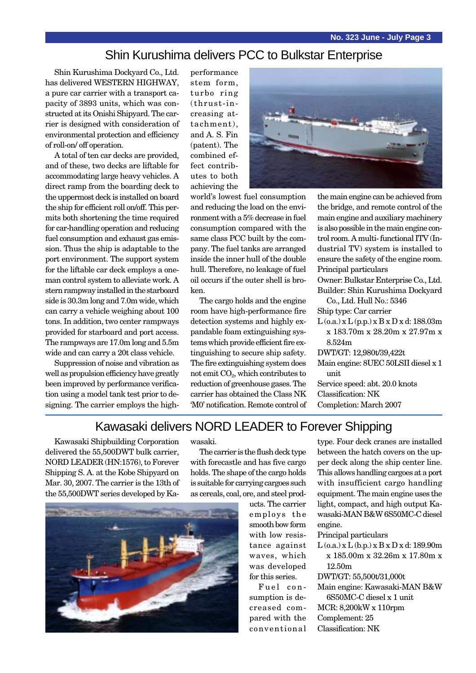## Shin Kurushima delivers PCC to Bulkstar Enterprise

Shin Kurushima Dockyard Co., Ltd. has delivered WESTERN HIGHWAY, a pure car carrier with a transport capacity of 3893 units, which was constructed at its Onishi Shipyard. The carrier is designed with consideration of environmental protection and efficiency of roll-on/ off operation.

A total of ten car decks are provided, and of these, two decks are liftable for accommodating large heavy vehicles. A direct ramp from the boarding deck to the uppermost deck is installed on board the ship for efficient roll on/off. This permits both shortening the time required for car-handling operation and reducing fuel consumption and exhaust gas emission. Thus the ship is adaptable to the port environment. The support system for the liftable car deck employs a oneman control system to alleviate work. A stern rampway installed in the starboard side is 30.3m long and 7.0m wide, which can carry a vehicle weighing about 100 tons. In addition, two center rampways provided for starboard and port access. The rampways are 17.0m long and 5.5m wide and can carry a 20t class vehicle.

Suppression of noise and vibration as well as propulsion efficiency have greatly been improved by performance verification using a model tank test prior to designing. The carrier employs the highperformance stem form, turbo ring (thrust-increasing attachment), and A. S. Fin (patent). The combined effect contributes to both achieving the



world's lowest fuel consumption and reducing the load on the environment with a 5% decrease in fuel consumption compared with the same class PCC built by the company. The fuel tanks are arranged inside the inner hull of the double hull. Therefore, no leakage of fuel oil occurs if the outer shell is broken.

The cargo holds and the engine room have high-performance fire detection systems and highly expandable foam extinguishing systems which provide efficient fire extinguishing to secure ship safety. The fire extinguishing system does not emit CO2, which contributes to reduction of greenhouse gases. The carrier has obtained the Class NK 'M0' notification. Remote control of the main engine can be achieved from the bridge, and remote control of the main engine and auxiliary machinery is also possible in the main engine control room. A multi- functional ITV (Industrial TV) system is installed to ensure the safety of the engine room. Principal particulars Owner: Bulkstar Enterprise Co., Ltd. Builder: Shin Kurushima Dockyard Co., Ltd. Hull No.: 5346 Ship type: Car carrier  $L$  (o.a.)  $x L$  (p.p.)  $x B x D x d$ : 188.03m x 183.70m x 28.20m x 27.97m x 8.524m DWT/GT: 12,980t/39,422t

Main engine: 8UEC 50LSII diesel x 1 unit Service speed: abt. 20.0 knots Classification: NK

Completion: March 2007

## Kawasaki delivers NORD LEADER to Forever Shipping

Kawasaki Shipbuilding Corporation delivered the 55,500DWT bulk carrier, NORD LEADER (HN:1576), to Forever Shipping S. A. at the Kobe Shipyard on Mar. 30, 2007. The carrier is the 13th of the 55,500DWT series developed by Kawasaki.

The carrier is the flush deck type with forecastle and has five cargo holds. The shape of the cargo holds is suitable for carrying cargoes such as cereals, coal, ore, and steel prod-



ucts. The carrier employs the smooth bow form with low resistance against waves, which was developed for this series.

Fuel consumption is decreased compared with the conventional type. Four deck cranes are installed between the hatch covers on the upper deck along the ship center line. This allows handling cargoes at a port with insufficient cargo handling equipment. The main engine uses the light, compact, and high output Kawasaki-MAN B&W 6S50MC-C diesel engine.

Principal particulars

L (o.a.) x L (b.p.) x B x D x d: 189.90m x 185.00m x 32.26m x 17.80m x 12.50m

DWT/GT: 55,500t/31,000t

Main engine: Kawasaki-MAN B&W 6S50MC-C diesel x 1 unit MCR: 8,200kW x 110rpm Complement: 25

Classification: NK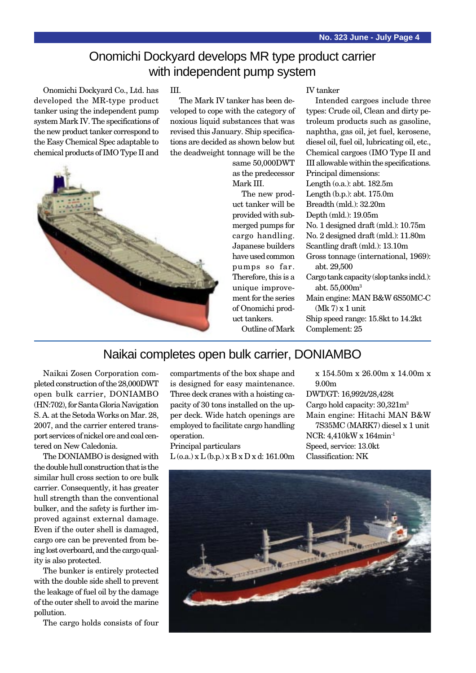## Onomichi Dockyard develops MR type product carrier with independent pump system

Onomichi Dockyard Co., Ltd. has developed the MR-type product tanker using the independent pump system Mark IV. The specifications of the new product tanker correspond to the Easy Chemical Spec adaptable to chemical products of IMO Type II and



#### III.

The Mark IV tanker has been developed to cope with the category of noxious liquid substances that was revised this January. Ship specifications are decided as shown below but the deadweight tonnage will be the

same 50,000DWT as the predecessor Mark III.

The new product tanker will be provided with submerged pumps for cargo handling. Japanese builders have used common pumps so far. Therefore, this is a unique improvement for the series of Onomichi product tankers.

#### IV tanker

Intended cargoes include three types: Crude oil, Clean and dirty petroleum products such as gasoline, naphtha, gas oil, jet fuel, kerosene, diesel oil, fuel oil, lubricating oil, etc., Chemical cargoes (IMO Type II and III allowable within the specifications. Principal dimensions: Length (o.a.): abt. 182.5m Length (b.p.): abt. 175.0m Breadth (mld.): 32.20m Depth (mld.): 19.05m No. 1 designed draft (mld.): 10.75m No. 2 designed draft (mld.): 11.80m Scantling draft (mld.): 13.10m Gross tonnage (international, 1969): abt. 29,500 Cargo tank capacity (slop tanks incld.): abt. 55,000m3 Main engine: MAN B&W 6S50MC-C  $(Mk 7)$  x 1 unit Ship speed range: 15.8kt to 14.2kt

Outline of Mark

### Naikai completes open bulk carrier, DONIAMBO

Naikai Zosen Corporation completed construction of the 28,000DWT open bulk carrier, DONIAMBO (HN:702), for Santa Gloria Navigation S. A. at the Setoda Works on Mar. 28, 2007, and the carrier entered transport services of nickel ore and coal centered on New Caledonia.

The DONIAMBO is designed with the double hull construction that is the similar hull cross section to ore bulk carrier. Consequently, it has greater hull strength than the conventional bulker, and the safety is further improved against external damage. Even if the outer shell is damaged, cargo ore can be prevented from being lost overboard, and the cargo quality is also protected.

The bunker is entirely protected with the double side shell to prevent the leakage of fuel oil by the damage of the outer shell to avoid the marine pollution.

The cargo holds consists of four

compartments of the box shape and is designed for easy maintenance. Three deck cranes with a hoisting capacity of 30 tons installed on the upper deck. Wide hatch openings are employed to facilitate cargo handling operation.

Principal particulars  $L$  (o.a.) x  $L$  (b.p.) x  $B$  x  $D$  x d: 161.00m

x 154.50m x 26.00m x 14.00m x 9.00m DWT/GT: 16,992t/28,428t Cargo hold capacity: 30,321m3 Main engine: Hitachi MAN B&W 7S35MC (MARK7) diesel x 1 unit NCR: 4,410kW x 164min-1 Speed, service: 13.0kt Classification: NK

Complement: 25

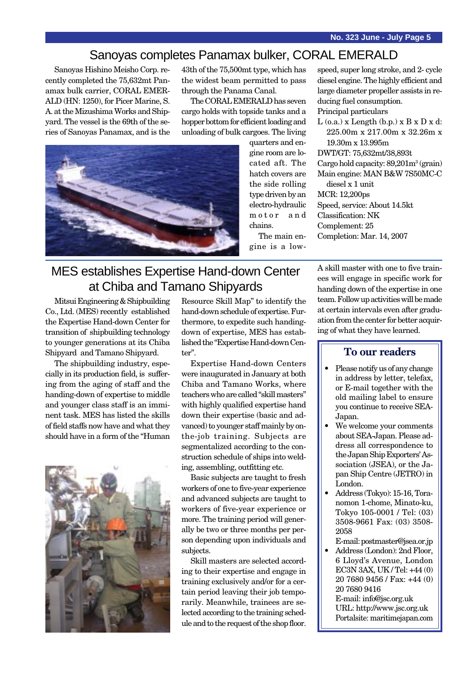## Sanoyas completes Panamax bulker, CORAL EMERALD

Sanoyas Hishino Meisho Corp. recently completed the 75,632mt Panamax bulk carrier, CORAL EMER-ALD (HN: 1250), for Picer Marine, S. A. at the Mizushima Works and Shipyard. The vessel is the 69th of the series of Sanoyas Panamax, and is the 43th of the 75,500mt type, which has the widest beam permitted to pass through the Panama Canal.

The CORAL EMERALD has seven cargo holds with topside tanks and a hopper bottom for efficient loading and unloading of bulk cargoes. The living



quarters and engine room are located aft. The hatch covers are the side rolling type driven by an electro-hydraulic motor and chains. The main en-

gine is a low-

speed, super long stroke, and 2- cycle diesel engine. The highly efficient and large diameter propeller assists in reducing fuel consumption. Principal particulars

 $L$  (o.a.) x Length (b.p.) x  $B \times D \times d$ : 225.00m x 217.00m x 32.26m x 19.30m x 13.995m DWT/GT: 75,632mt/38,893t Cargo hold capacity: 89,201m<sup>3</sup> (grain) Main engine: MAN B&W 7S50MC-C diesel x 1 unit MCR: 12,200ps Speed, service: About 14.5kt Classification: NK Complement: 25 Completion: Mar. 14, 2007

# MES establishes Expertise Hand-down Center at Chiba and Tamano Shipyards

Mitsui Engineering & Shipbuilding Co., Ltd. (MES) recently established the Expertise Hand-down Center for transition of shipbuilding technology to younger generations at its Chiba Shipyard and Tamano Shipyard.

The shipbuilding industry, especially in its production field, is suffering from the aging of staff and the handing-down of expertise to middle and younger class staff is an imminent task. MES has listed the skills of field staffs now have and what they should have in a form of the "Human



Resource Skill Map" to identify the hand-down schedule of expertise. Furthermore, to expedite such handingdown of expertise, MES has established the "Expertise Hand-down Center".

Expertise Hand-down Centers were inaugurated in January at both Chiba and Tamano Works, where teachers who are called "skill masters" with highly qualified expertise hand down their expertise (basic and advanced) to younger staff mainly by onthe-job training. Subjects are segmentalized according to the construction schedule of ships into welding, assembling, outfitting etc.

Basic subjects are taught to fresh workers of one to five-year experience and advanced subjects are taught to workers of five-year experience or more. The training period will generally be two or three months per person depending upon individuals and subjects.

Skill masters are selected according to their expertise and engage in training exclusively and/or for a certain period leaving their job temporarily. Meanwhile, trainees are selected according to the training schedule and to the request of the shop floor. A skill master with one to five trainees will engage in specific work for handing down of the expertise in one team. Follow up activities will be made at certain intervals even after graduation from the center for better acquiring of what they have learned.

#### **To our readers**

- Please notify us of any change in address by letter, telefax, or E-mail together with the old mailing label to ensure you continue to receive SEA-Japan.
- We welcome your comments about SEA-Japan. Please address all correspondence to the Japan Ship Exporters' Association (JSEA), or the Japan Ship Centre (JETRO) in London.
- Address (Tokyo): 15-16, Toranomon 1-chome, Minato-ku, Tokyo 105-0001 / Tel: (03) 3508-9661 Fax: (03) 3508- 2058

E-mail: postmaster@jsea.or.jp

• Address (London): 2nd Floor, 6 Lloyd's Avenue, London EC3N 3AX, UK / Tel: +44 (0) 20 7680 9456 / Fax: +44 (0) 20 7680 9416 E-mail: info@jsc.org.uk URL: http://www.jsc.org.uk

Portalsite: maritimejapan.com